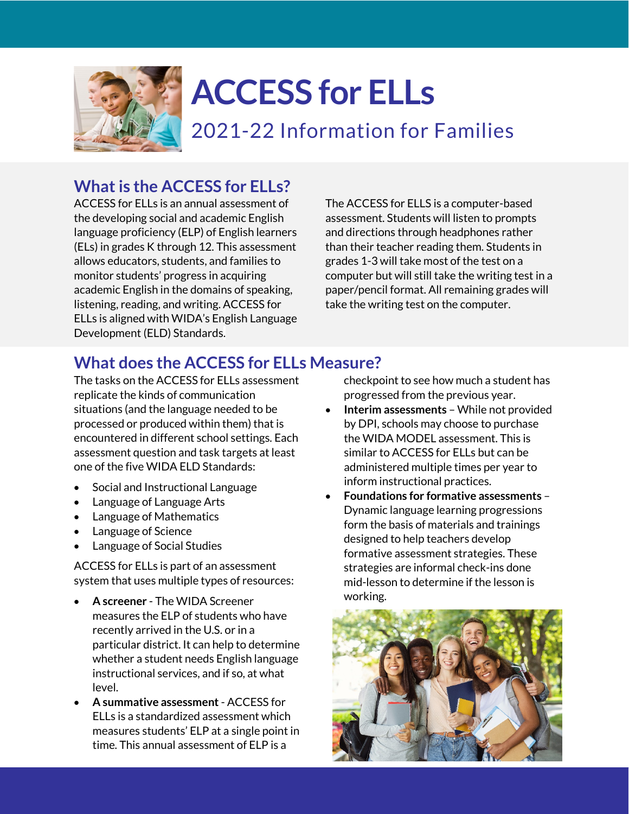

# **ACCESS for ELLs**

2021-22 Information for Families

# **What is the ACCESS for ELLs?**

ACCESS for ELLs is an annual assessment of the developing social and academic English language proficiency (ELP) of English learners (ELs) in grades K through 12. This assessment allows educators, students, and families to monitor students' progress in acquiring academic English in the domains of speaking, listening, reading, and writing. ACCESS for ELLs is aligned with WIDA's English Language Development (ELD) Standards.

The ACCESS for ELLS is a computer-based assessment. Students will listen to prompts and directions through headphones rather than their teacher reading them. Students in grades 1-3 will take most of the test on a computer but will still take the writing test in a paper/pencil format. All remaining grades will take the writing test on the computer.

# **What does the ACCESS for ELLs Measure?**

The tasks on the ACCESS for ELLs assessment replicate the kinds of communication situations (and the language needed to be processed or produced within them) that is encountered in different school settings. Each assessment question and task targets at least one of the five WIDA ELD Standards:

- Social and Instructional Language
- Language of Language Arts
- Language of Mathematics
- Language of Science
- Language of Social Studies

ACCESS for ELLs is part of an assessment system that uses multiple types of resources:

- **A screener** The WIDA Screener measures the ELP of students who have recently arrived in the U.S. or in a particular district. It can help to determine whether a student needs English language instructional services, and if so, at what level.
- **A summative assessment** ACCESS for ELLs is a standardized assessment which measures students' ELP at a single point in time. This annual assessment of ELP is a

checkpoint to see how much a student has progressed from the previous year.

- **Interim assessments** While not provided by DPI, schools may choose to purchase the WIDA MODEL assessment. This is similar to ACCESS for ELLs but can be administered multiple times per year to inform instructional practices.
- **Foundations for formative assessments** Dynamic language learning progressions form the basis of materials and trainings designed to help teachers develop formative assessment strategies. These strategies are informal check-ins done mid-lesson to determine if the lesson is working.